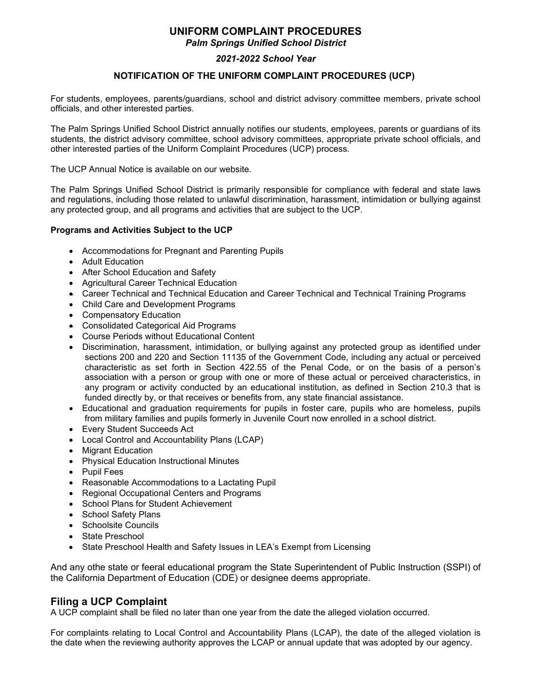# **UNIFORM COMPLAINT PROCEDURES**

*Palm Springs Unified School District*

### *2021-2022 School Year*

### **NOTIFICATION OF THE UNIFORM COMPLAINT PROCEDURES (UCP)**

For students, employees, parents/guardians, school and district advisory committee members, private school officials, and other interested parties.

The Palm Springs Unified School District annually notifies our students, employees, parents or guardians of its students, the district advisory committee, school advisory committees, appropriate private school officials, and other interested parties of the Uniform Complaint Procedures (UCP) process.

The UCP Annual Notice is available on our website.

The Palm Springs Unified School District is primarily responsible for compliance with federal and state laws and regulations, including those related to unlawful discrimination, harassment, intimidation or bullying against any protected group, and all programs and activities that are subject to the UCP.

#### **Programs and Activities Subject to the UCP**

- Accommodations for Pregnant and Parenting Pupils
- Adult Education
- After School Education and Safety
- Agricultural Career Technical Education
- Career Technical and Technical Education and Career Technical and Technical Training Programs
- Child Care and Development Programs
- Compensatory Education
- Consolidated Categorical Aid Programs
- Course Periods without Educational Content
- Discrimination, harassment, intimidation, or bullying against any protected group as identified under sections 200 and 220 and Section 11135 of the Government Code, including any actual or perceived characteristic as set forth in Section 422.55 of the Penal Code, or on the basis of a person's association with a person or group with one or more of these actual or perceived characteristics, in any program or activity conducted by an educational institution, as defined in Section 210.3 that is funded directly by, or that receives or benefits from, any state financial assistance.
- Educational and graduation requirements for pupils in foster care, pupils who are homeless, pupils from military families and pupils formerly in Juvenile Court now enrolled in a school district.
- Every Student Succeeds Act
- Local Control and Accountability Plans (LCAP)
- Migrant Education
- Physical Education Instructional Minutes
- Pupil Fees
- Reasonable Accommodations to a Lactating Pupil
- Regional Occupational Centers and Programs
- School Plans for Student Achievement
- School Safety Plans
- Schoolsite Councils
- State Preschool
- State Preschool Health and Safety Issues in LEA's Exempt from Licensing

And any othe state or feeral educational program the State Superintendent of Public Instruction (SSPI) of the California Department of Education (CDE) or designee deems appropriate.

### **Filing a UCP Complaint**

A UCP complaint shall be filed no later than one year from the date the alleged violation occurred.

For complaints relating to Local Control and Accountability Plans (LCAP), the date of the alleged violation is the date when the reviewing authority approves the LCAP or annual update that was adopted by our agency.